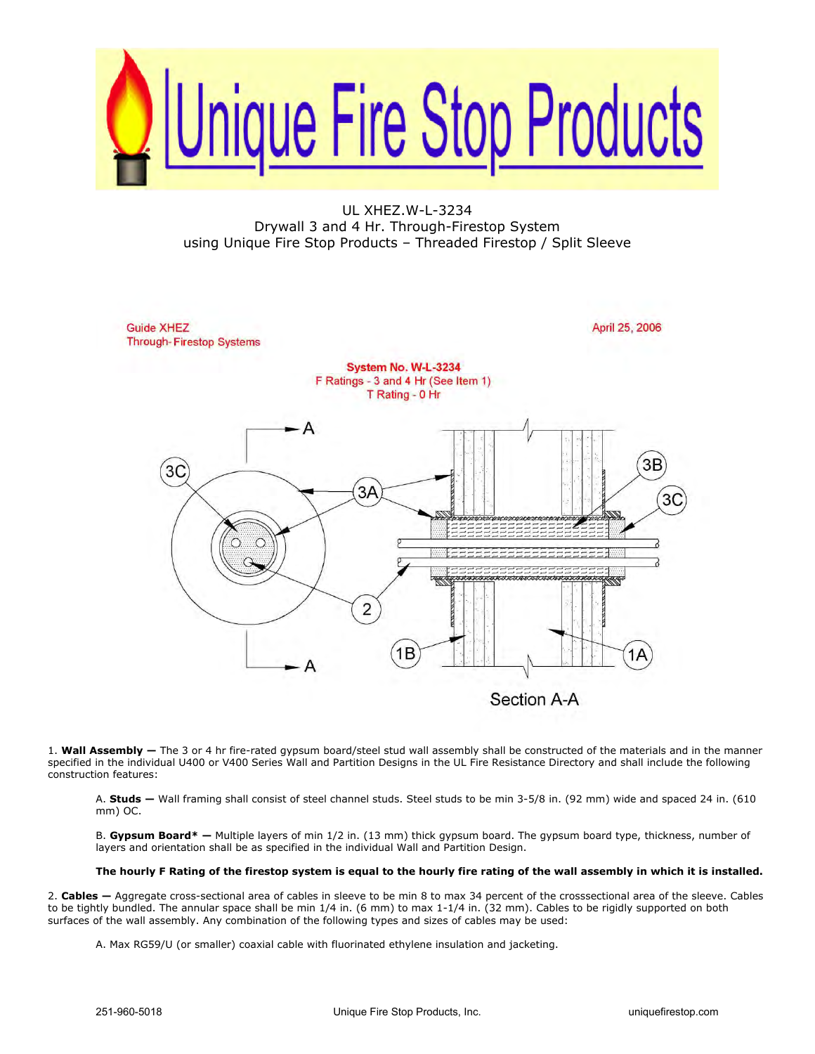

UL XHEZ.W-L-3234 Drywall 3 and 4 Hr. Through-Firestop System using Unique Fire Stop Products – Threaded Firestop / Split Sleeve



1. **Wall Assembly —** The 3 or 4 hr fire-rated gypsum board/steel stud wall assembly shall be constructed of the materials and in the manner specified in the individual U400 or V400 Series Wall and Partition Designs in the UL Fire Resistance Directory and shall include the following construction features:

A. **Studs —** Wall framing shall consist of steel channel studs. Steel studs to be min 3-5/8 in. (92 mm) wide and spaced 24 in. (610 mm) OC.

B. **Gypsum Board\* —** Multiple layers of min 1/2 in. (13 mm) thick gypsum board. The gypsum board type, thickness, number of layers and orientation shall be as specified in the individual Wall and Partition Design.

## **The hourly F Rating of the firestop system is equal to the hourly fire rating of the wall assembly in which it is installed.**

2. **Cables —** Aggregate cross-sectional area of cables in sleeve to be min 8 to max 34 percent of the crosssectional area of the sleeve. Cables to be tightly bundled. The annular space shall be min 1/4 in. (6 mm) to max 1-1/4 in. (32 mm). Cables to be rigidly supported on both surfaces of the wall assembly. Any combination of the following types and sizes of cables may be used:

A. Max RG59/U (or smaller) coaxial cable with fluorinated ethylene insulation and jacketing.